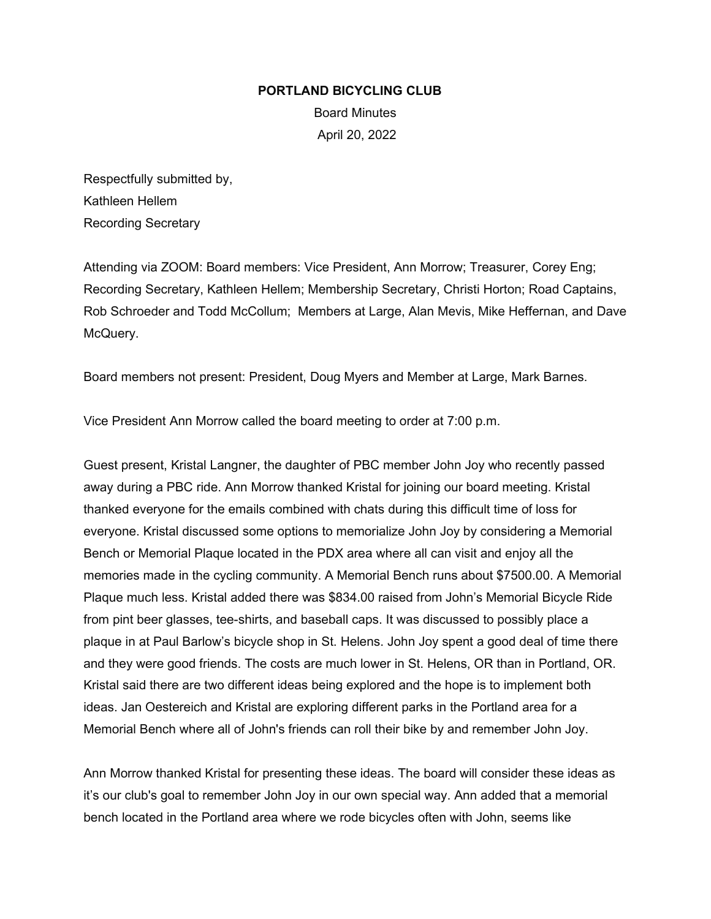#### **PORTLAND BICYCLING CLUB**

Board Minutes April 20, 2022

Respectfully submitted by, Kathleen Hellem Recording Secretary

Attending via ZOOM: Board members: Vice President, Ann Morrow; Treasurer, Corey Eng; Recording Secretary, Kathleen Hellem; Membership Secretary, Christi Horton; Road Captains, Rob Schroeder and Todd McCollum; Members at Large, Alan Mevis, Mike Heffernan, and Dave McQuery.

Board members not present: President, Doug Myers and Member at Large, Mark Barnes.

Vice President Ann Morrow called the board meeting to order at 7:00 p.m.

Guest present, Kristal Langner, the daughter of PBC member John Joy who recently passed away during a PBC ride. Ann Morrow thanked Kristal for joining our board meeting. Kristal thanked everyone for the emails combined with chats during this difficult time of loss for everyone. Kristal discussed some options to memorialize John Joy by considering a Memorial Bench or Memorial Plaque located in the PDX area where all can visit and enjoy all the memories made in the cycling community. A Memorial Bench runs about \$7500.00. A Memorial Plaque much less. Kristal added there was \$834.00 raised from John's Memorial Bicycle Ride from pint beer glasses, tee-shirts, and baseball caps. It was discussed to possibly place a plaque in at Paul Barlow's bicycle shop in St. Helens. John Joy spent a good deal of time there and they were good friends. The costs are much lower in St. Helens, OR than in Portland, OR. Kristal said there are two different ideas being explored and the hope is to implement both ideas. Jan Oestereich and Kristal are exploring different parks in the Portland area for a Memorial Bench where all of John's friends can roll their bike by and remember John Joy.

Ann Morrow thanked Kristal for presenting these ideas. The board will consider these ideas as it's our club's goal to remember John Joy in our own special way. Ann added that a memorial bench located in the Portland area where we rode bicycles often with John, seems like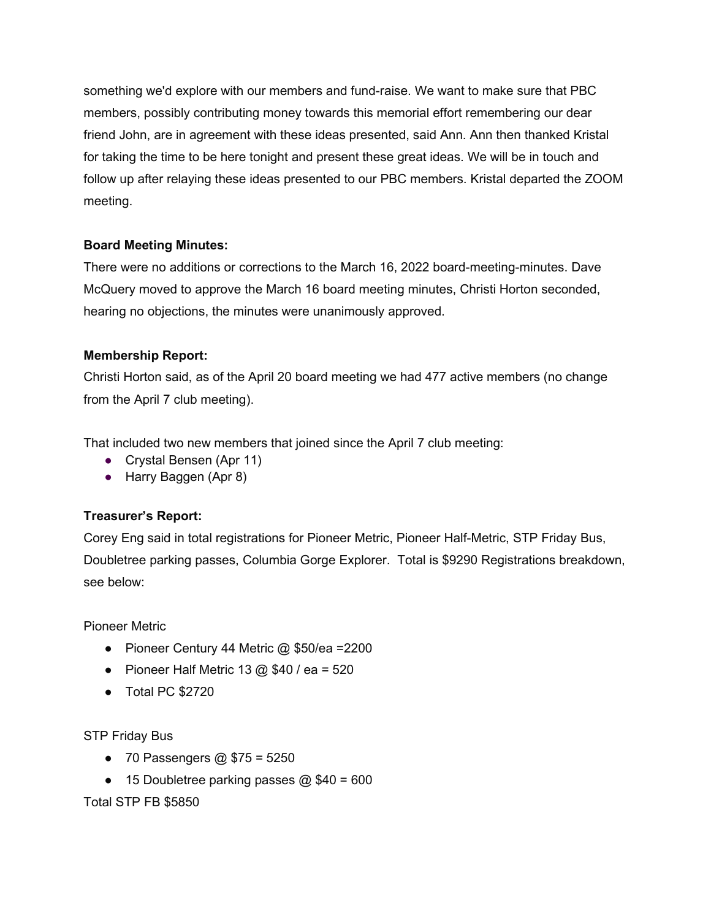something we'd explore with our members and fund-raise. We want to make sure that PBC members, possibly contributing money towards this memorial effort remembering our dear friend John, are in agreement with these ideas presented, said Ann. Ann then thanked Kristal for taking the time to be here tonight and present these great ideas. We will be in touch and follow up after relaying these ideas presented to our PBC members. Kristal departed the ZOOM meeting.

## **Board Meeting Minutes:**

There were no additions or corrections to the March 16, 2022 board-meeting-minutes. Dave McQuery moved to approve the March 16 board meeting minutes, Christi Horton seconded, hearing no objections, the minutes were unanimously approved.

## **Membership Report:**

Christi Horton said, as of the April 20 board meeting we had 477 active members (no change from the April 7 club meeting).

That included two new members that joined since the April 7 club meeting:

- Crystal Bensen (Apr 11)
- Harry Baggen (Apr 8)

# **Treasurer's Report:**

Corey Eng said in total registrations for Pioneer Metric, Pioneer Half-Metric, STP Friday Bus, Doubletree parking passes, Columbia Gorge Explorer. Total is \$9290 Registrations breakdown, see below:

Pioneer Metric

- Pioneer Century 44 Metric  $\omega$  \$50/ea =2200
- Pioneer Half Metric 13  $@$  \$40 / ea = 520
- Total PC \$2720

STP Friday Bus

- 70 Passengers  $@$  \$75 = 5250
- 15 Doubletree parking passes  $@$  \$40 = 600

Total STP FB \$5850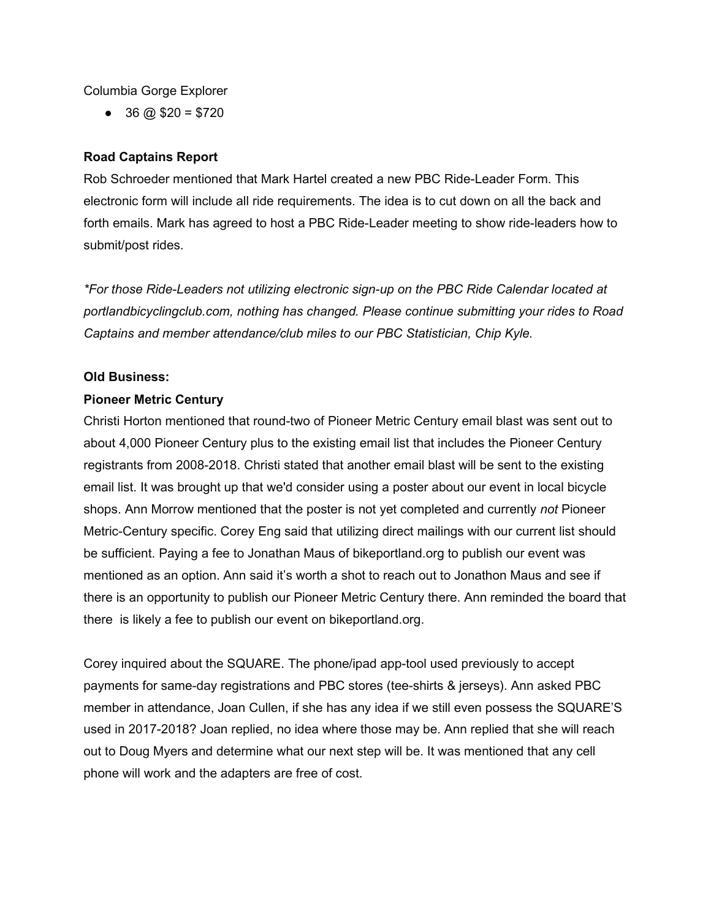#### Columbia Gorge Explorer

 $\bullet$  36 @ \$20 = \$720

## **Road Captains Report**

Rob Schroeder mentioned that Mark Hartel created a new PBC Ride-Leader Form. This electronic form will include all ride requirements. The idea is to cut down on all the back and forth emails. Mark has agreed to host a PBC Ride-Leader meeting to show ride-leaders how to submit/post rides.

*\*For those Ride-Leaders not utilizing electronic sign-up on the PBC Ride Calendar located at portlandbicyclingclub.com, nothing has changed. Please continue submitting your rides to Road Captains and member attendance/club miles to our PBC Statistician, Chip Kyle.* 

#### **Old Business:**

#### **Pioneer Metric Century**

Christi Horton mentioned that round-two of Pioneer Metric Century email blast was sent out to about 4,000 Pioneer Century plus to the existing email list that includes the Pioneer Century registrants from 2008-2018. Christi stated that another email blast will be sent to the existing email list. It was brought up that we'd consider using a poster about our event in local bicycle shops. Ann Morrow mentioned that the poster is not yet completed and currently *not* Pioneer Metric-Century specific. Corey Eng said that utilizing direct mailings with our current list should be sufficient. Paying a fee to Jonathan Maus of bikeportland.org to publish our event was mentioned as an option. Ann said it's worth a shot to reach out to Jonathon Maus and see if there is an opportunity to publish our Pioneer Metric Century there. Ann reminded the board that there is likely a fee to publish our event on bikeportland.org.

Corey inquired about the SQUARE. The phone/ipad app-tool used previously to accept payments for same-day registrations and PBC stores (tee-shirts & jerseys). Ann asked PBC member in attendance, Joan Cullen, if she has any idea if we still even possess the SQUARE'S used in 2017-2018? Joan replied, no idea where those may be. Ann replied that she will reach out to Doug Myers and determine what our next step will be. It was mentioned that any cell phone will work and the adapters are free of cost.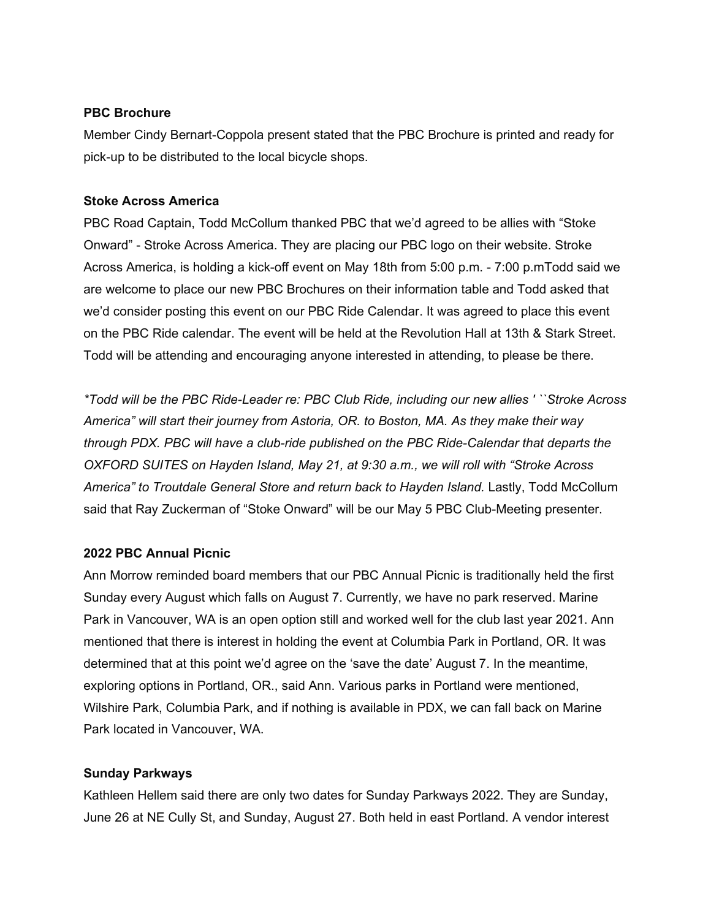#### **PBC Brochure**

Member Cindy Bernart-Coppola present stated that the PBC Brochure is printed and ready for pick-up to be distributed to the local bicycle shops.

## **Stoke Across America**

PBC Road Captain, Todd McCollum thanked PBC that we'd agreed to be allies with "Stoke Onward" - Stroke Across America. They are placing our PBC logo on their website. Stroke Across America, is holding a kick-off event on May 18th from 5:00 p.m. - 7:00 p.mTodd said we are welcome to place our new PBC Brochures on their information table and Todd asked that we'd consider posting this event on our PBC Ride Calendar. It was agreed to place this event on the PBC Ride calendar. The event will be held at the Revolution Hall at 13th & Stark Street. Todd will be attending and encouraging anyone interested in attending, to please be there.

*\*Todd will be the PBC Ride-Leader re: PBC Club Ride, including our new allies ' ``Stroke Across America" will start their journey from Astoria, OR. to Boston, MA. As they make their way through PDX. PBC will have a club-ride published on the PBC Ride-Calendar that departs the OXFORD SUITES on Hayden Island, May 21, at 9:30 a.m., we will roll with "Stroke Across*  America" to Troutdale General Store and return back to Hayden Island. Lastly, Todd McCollum said that Ray Zuckerman of "Stoke Onward" will be our May 5 PBC Club-Meeting presenter.

## **2022 PBC Annual Picnic**

Ann Morrow reminded board members that our PBC Annual Picnic is traditionally held the first Sunday every August which falls on August 7. Currently, we have no park reserved. Marine Park in Vancouver, WA is an open option still and worked well for the club last year 2021. Ann mentioned that there is interest in holding the event at Columbia Park in Portland, OR. It was determined that at this point we'd agree on the 'save the date' August 7. In the meantime, exploring options in Portland, OR., said Ann. Various parks in Portland were mentioned, Wilshire Park, Columbia Park, and if nothing is available in PDX, we can fall back on Marine Park located in Vancouver, WA.

# **Sunday Parkways**

Kathleen Hellem said there are only two dates for Sunday Parkways 2022. They are Sunday, June 26 at NE Cully St, and Sunday, August 27. Both held in east Portland. A vendor interest